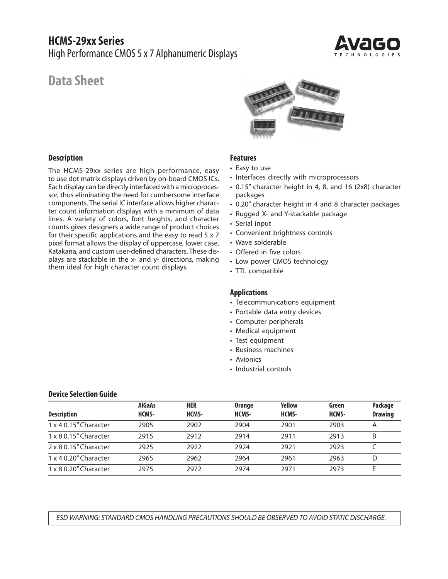# **HCMS-29xx Series** High Performance CMOS 5 x 7 Alphanumeric Displays



# **Data Sheet**

#### **Description**

The HCMS-29xx series are high performance, easy to use dot matrix displays driven by on-board CMOS ICs. Each display can be directly interfaced with a microprocessor, thus eliminating the need for cumbersome interface components. The serial IC interface allows higher character count information displays with a minimum of data lines. A variety of colors, font heights, and character counts gives designers a wide range of product choices for their specific applications and the easy to read 5 x 7 pixel format allows the display of uppercase, lower case, Katakana, and custom user-defined characters. These displays are stackable in the x- and y- directions, making them ideal for high character count displays.



## **Features**

- Easy to use
- Interfaces directly with microprocessors
- 0.15" character height in 4, 8, and 16 (2x8) character packages
- 0.20" character height in 4 and 8 character packages
- Rugged X- and Y-stackable package
- Serial input
- Convenient brightness controls
- Wave solderable
- Offered in five colors
- Low power CMOS technology
- TTL compatible

#### **Applications**

- Telecommunications equipment
- Portable data entry devices
- Computer peripherals
- Medical equipment
- Test equipment
- Business machines
- Avionics
- Industrial controls

# **Device Selection Guide**

| <b>Description</b>           | <b>AlGaAs</b><br>HCMS- | HER<br>HCMS- | <b>Orange</b><br>HCMS- | <b>Yellow</b><br>HCMS- | Green<br>HCMS- | Package<br><b>Drawing</b> |
|------------------------------|------------------------|--------------|------------------------|------------------------|----------------|---------------------------|
| 1 x 4 0.15" Character        | 2905                   | 2902         | 2904                   | 2901                   | 2903           |                           |
| 1 x 8 0.15" Character        | 2915                   | 2912         | 2914                   | 2911                   | 2913           | B                         |
| 2 x 8 0.15" Character        | 2925                   | 2922         | 2924                   | 2921                   | 2923           |                           |
| $1 \times 4$ 0.20" Character | 2965                   | 2962         | 2964                   | 2961                   | 2963           | D                         |
| $1 \times 8$ 0.20" Character | 2975                   | 2972         | 2974                   | 2971                   | 2973           |                           |

*ESD WARNING: STANDARD CMOS HANDLING PRECAUTIONS SHOULD BE OBSERVED TO AVOID STATIC DISCHARGE.*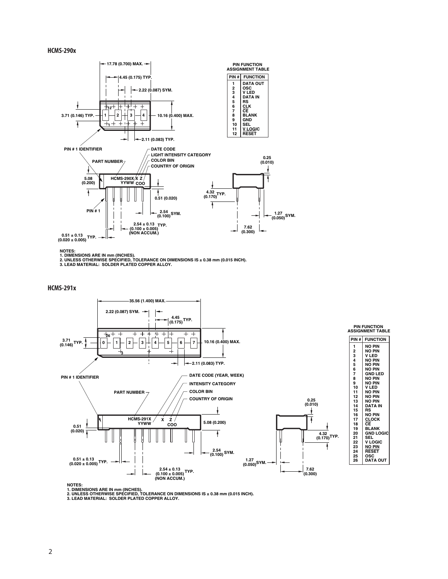#### **HCMS-290x**



NOTES:<br>1. DIMENSIONS ARE IN mm (INCHES).<br>2. UNLESS OTHERWISE SPECIFIED, TOLERANCE ON DIMENSIONS IS ± 0.38 mm (0.015 INCH).<br>3. LEAD MATERIAL: SOLDER PLATED COPPER ALLOY.

**HCMS-291x**



**NOTES:**

1. DIMENSIONS ARE IN mm (INCHES).<br>2. UNLESS OTHERWISE SPECIFIED, TOLERANCE ON DIMENSIONS IS ± 0.38 mm (0.015 INCH).<br>3. LEAD MATERIAL: SOLDER PLATED COPPER ALLOY.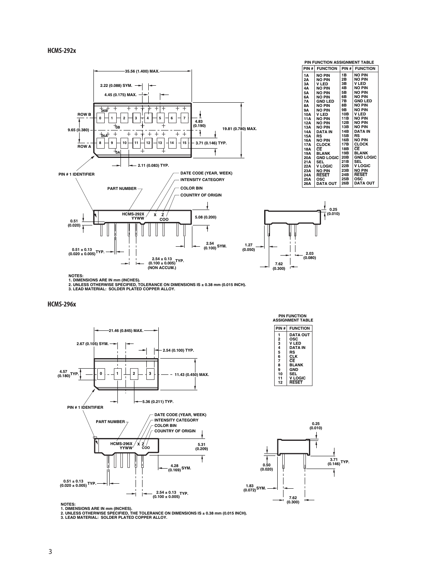#### **HCMS-292x**



**NOTES: 1. DIMENSIONS ARE IN mm (INCHES). 2. UNLESS OTHERWISE SPECIFIED, TOLERANCE ON DIMENSIONS IS ± 0.38 mm (0.015 INCH). 3. LEAD MATERIAL: SOLDER PLATED COPPER ALLOY.**

#### **HCMS-296x**







1. DIMENSIONS ARE IN mm (INCHES).<br>2. UNLESS OTHERWISE SPECIFIED, THE TOLERANCE ON DIMENSIONS IS ± 0.38 mm (0.015 INCH).<br>3. LEAD MATERIAL: SOLDER PLATED COPPER ALLOY.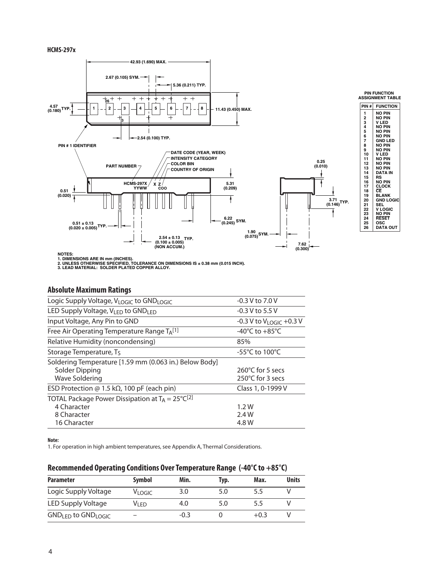#### **HCMS-297x**



**NOTES:**

1. DIMENSIONS ARE IN mm (INCHES).<br>2. UNLESS OTHERWISE SPECIFIED, TOLERANCE ON DIMENSIONS IS ± 0.38 mm (0.015 INCH).<br>3. LEAD MATERIAL: SOLDER PLATED COPPER ALLOY.

#### **Absolute Maximum Ratings**

| Logic Supply Voltage, VLOGIC to GNDLOGIC                     | $-0.3 V$ to 7.0 V                       |
|--------------------------------------------------------------|-----------------------------------------|
| LED Supply Voltage, $V_{LED}$ to GND <sub>LED</sub>          | $-0.3$ V to 5.5 V                       |
| Input Voltage, Any Pin to GND                                | $-0.3$ V to V <sub>LOGIC</sub> $+0.3$ V |
| Free Air Operating Temperature Range TA <sup>[1]</sup>       | -40 $^{\circ}$ C to +85 $^{\circ}$ C    |
| Relative Humidity (noncondensing)                            | 85%                                     |
| Storage Temperature, T <sub>S</sub>                          | $-55^{\circ}$ C to 100 $^{\circ}$ C     |
| Soldering Temperature [1.59 mm (0.063 in.) Below Body]       |                                         |
| Solder Dipping                                               | 260°C for 5 secs                        |
| Wave Soldering                                               | 250°C for 3 secs                        |
| ESD Protection @ 1.5 k $\Omega$ , 100 pF (each pin)          | Class 1, 0-1999 V                       |
| TOTAL Package Power Dissipation at $T_A = 25^{\circ}C^{[2]}$ |                                         |
| 4 Character                                                  | 1.2W                                    |
| 8 Character                                                  | 2.4 W                                   |
| 16 Character                                                 | 4.8 W                                   |
|                                                              |                                         |

**Note:**

1. For operation in high ambient temperatures, see Appendix A, Thermal Considerations.

# **Recommended Operating Conditions Over Temperature Range (-40°C to +85°C)**

| <b>Parameter</b>                           | Symbol  | Min. | Typ. | Max. | <b>Units</b> |
|--------------------------------------------|---------|------|------|------|--------------|
| Logic Supply Voltage                       | VLOGIC. | 3.0  | 5.0  | 5.5  |              |
| LED Supply Voltage                         | Vi fd   | 4.0  | 5.0  | 5.5  |              |
| GND <sub>LED</sub> to GND <sub>LOGIC</sub> |         | -0.3 |      | +0.3 |              |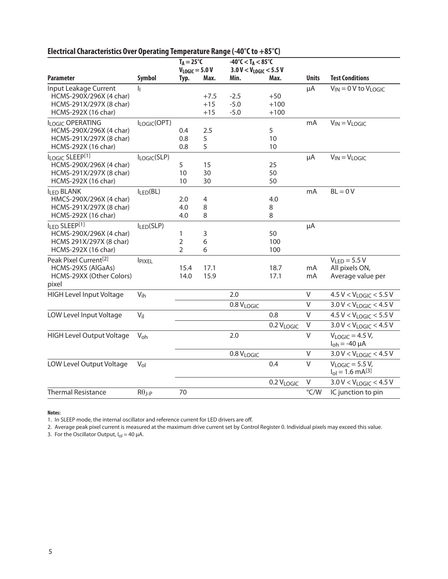|                                                                                                    |               | $T_A = 25^{\circ}C$<br>$V_{LOGIC} = 5.0 V$ |                          | $-40^{\circ}$ C $<$ T <sub>A</sub> $<$ 85 $^{\circ}$ C<br>$3.0 V < V_{LOGIC} < 5.5 V$ |                           |              |                                                           |
|----------------------------------------------------------------------------------------------------|---------------|--------------------------------------------|--------------------------|---------------------------------------------------------------------------------------|---------------------------|--------------|-----------------------------------------------------------|
| <b>Parameter</b>                                                                                   | <b>Symbol</b> | Typ.                                       | Max.                     | Min.                                                                                  | Max.                      | <b>Units</b> | <b>Test Conditions</b>                                    |
| Input Leakage Current<br>HCMS-290X/296X (4 char)<br>HCMS-291X/297X (8 char)<br>HCMS-292X (16 char) | h             |                                            | $+7.5$<br>$+15$<br>$+15$ | $-2.5$<br>$-5.0$<br>$-5.0$                                                            | $+50$<br>$+100$<br>$+100$ | μA           | $\overline{V}_{IN}$ = 0 V to $V_{LOGIC}$                  |
| ILOGIC OPERATING<br>HCMS-290X/296X (4 char)<br>HCMS-291X/297X (8 char)<br>HCMS-292X (16 char)      | ILOGIC(OPT)   | 0.4<br>0.8<br>0.8                          | 2.5<br>5<br>5            |                                                                                       | 5<br>10<br>10             | mA           | $V_{IN} = V_{LOGIC}$                                      |
| ILOGIC SLEEP[1]<br>HCMS-290X/296X (4 char)<br>HCMS-291X/297X (8 char)<br>HCMS-292X (16 char)       | ILOGIC(SLP)   | 5<br>10<br>10                              | 15<br>30<br>30           |                                                                                       | 25<br>50<br>50            | μA           | $V_{IN} = V_{LOGIC}$                                      |
| <b>ILED BLANK</b><br>HMCS-290X/296X (4 char)<br>HCMS-291X/297X (8 char)<br>HCMS-292X (16 char)     | $I_{LED}(BL)$ | 2.0<br>4.0<br>4.0                          | 4<br>8<br>8              |                                                                                       | 4.0<br>8<br>8             | mA           | $BL = 0 V$                                                |
| ILED SLEEP[1]<br>HCMS-290X/296X (4 char)<br>HCMS 291X/297X (8 char)<br>HCMS-292X (16 char)         | ILED(SLP)     | 1<br>2<br>$\overline{2}$                   | 3<br>6<br>6              |                                                                                       | 50<br>100<br>100          | μA           |                                                           |
| Peak Pixel Current <sup>[2]</sup><br>HCMS-29X5 (AlGaAs)<br>HCMS-29XX (Other Colors)<br>pixel       | <b>IPIXEL</b> | 15.4<br>14.0                               | 17.1<br>15.9             |                                                                                       | 18.7<br>17.1              | mA<br>mA     | $VLED = 5.5 V$<br>All pixels ON,<br>Average value per     |
| <b>HIGH Level Input Voltage</b>                                                                    | $V_{ih}$      |                                            |                          | 2.0                                                                                   |                           | $\sf V$      | $4.5 V < V_{LOGIC} < 5.5 V$                               |
|                                                                                                    |               |                                            |                          | 0.8 VLOGIC                                                                            |                           | V            | $3.0 V < V_{LOGIC} < 4.5 V$                               |
| LOW Level Input Voltage                                                                            | $V_{il}$      |                                            |                          |                                                                                       | 0.8                       | $\vee$       | $4.5 V < V_{LOGIC} < 5.5 V$                               |
|                                                                                                    |               |                                            |                          |                                                                                       | 0.2 VLOGIC                | $\vee$       | $3.0 V < V_{LOGIC} < 4.5 V$                               |
| <b>HIGH Level Output Voltage</b>                                                                   | $V_{oh}$      |                                            |                          | 2.0                                                                                   |                           | $\vee$       | $V_{LOGIC} = 4.5 V$ ,<br>$I_{\text{oh}} = -40 \mu A$      |
|                                                                                                    |               |                                            |                          | 0.8 VLOGIC                                                                            |                           | $\vee$       | $3.0 V < V_{LOGIC} < 4.5 V$                               |
| LOW Level Output Voltage                                                                           | $V_{ol}$      |                                            |                          |                                                                                       | 0.4                       | V            | $V_{LOGIC} = 5.5 V$ ,<br>$I_{ol} = 1.6$ mA <sup>[3]</sup> |
|                                                                                                    |               |                                            |                          |                                                                                       | 0.2 VLOGIC                | V            | $3.0 V < V_{LOGIC} < 4.5 V$                               |
| <b>Thermal Resistance</b>                                                                          | $R\theta$ J-P | 70                                         |                          |                                                                                       |                           | °C/W         | IC junction to pin                                        |

# **Electrical Characteristics Over Operating Temperature Range (-40°C to +85°C)**

**Notes:**

1. In SLEEP mode, the internal oscillator and reference current for LED drivers are off.

2. Average peak pixel current is measured at the maximum drive current set by Control Register 0. Individual pixels may exceed this value.

3. For the Oscillator Output,  $I_{ol} = 40 \mu A$ .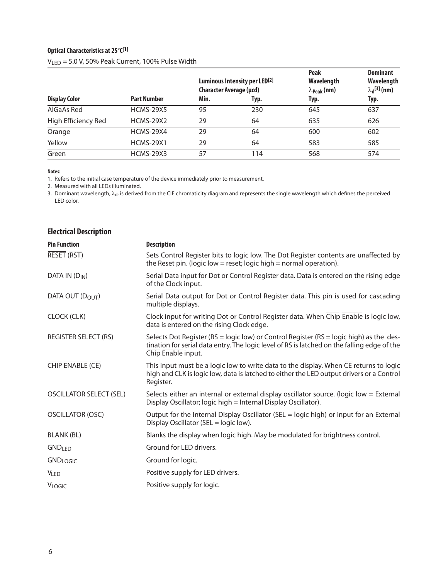# **Optical Characteristics at 25°C[1]**

|                      |                    | Luminous Intensity per LED <sup>[2]</sup><br><b>Character Average (µcd)</b> |      | <b>Peak</b><br>Wavelength<br>$\lambda_{\text{Peak}}$ (nm) | <b>Dominant</b><br>Wavelength<br>$\lambda_{d}^{[3]}$ (nm) |  |
|----------------------|--------------------|-----------------------------------------------------------------------------|------|-----------------------------------------------------------|-----------------------------------------------------------|--|
| <b>Display Color</b> | <b>Part Number</b> | Min.                                                                        | Typ. | Typ.                                                      | Typ.                                                      |  |
| AlGaAs Red           | <b>HCMS-29X5</b>   | 95                                                                          | 230  | 645                                                       | 637                                                       |  |
| High Efficiency Red  | <b>HCMS-29X2</b>   | 29                                                                          | 64   | 635                                                       | 626                                                       |  |
| Orange               | <b>HCMS-29X4</b>   | 29                                                                          | 64   | 600                                                       | 602                                                       |  |
| Yellow               | <b>HCMS-29X1</b>   | 29                                                                          | 64   | 583                                                       | 585                                                       |  |
| Green                | <b>HCMS-29X3</b>   | 57                                                                          | 114  | 568                                                       | 574                                                       |  |

VLED = 5.0 V, 50% Peak Current, 100% Pulse Width

**Notes:**

1. Refers to the initial case temperature of the device immediately prior to measurement.

2. Measured with all LEDs illuminated.

3. Dominant wavelength,  $\lambda_{\rm d}$ , is derived from the CIE chromaticity diagram and represents the single wavelength which defines the perceived LED color.

| <b>Electrical Description</b>  |                                                                                                                                                                                                                    |
|--------------------------------|--------------------------------------------------------------------------------------------------------------------------------------------------------------------------------------------------------------------|
| <b>Pin Function</b>            | <b>Description</b>                                                                                                                                                                                                 |
| RESET (RST)                    | Sets Control Register bits to logic low. The Dot Register contents are unaffected by<br>the Reset pin. (logic low = reset; logic high = normal operation).                                                         |
| DATA IN $(D_{IN})$             | Serial Data input for Dot or Control Register data. Data is entered on the rising edge<br>of the Clock input.                                                                                                      |
| DATA OUT (DOUT)                | Serial Data output for Dot or Control Register data. This pin is used for cascading<br>multiple displays.                                                                                                          |
| CLOCK (CLK)                    | Clock input for writing Dot or Control Register data. When Chip Enable is logic low,<br>data is entered on the rising Clock edge.                                                                                  |
| <b>REGISTER SELECT (RS)</b>    | Selects Dot Register ( $RS = logic$ low) or Control Register ( $RS = logic$ high) as the des-<br>tination for serial data entry. The logic level of RS is latched on the falling edge of the<br>Chip Enable input. |
| CHIP ENABLE (CE)               | This input must be a logic low to write data to the display. When $\overline{\text{CE}}$ returns to logic<br>high and CLK is logic low, data is latched to either the LED output drivers or a Control<br>Register. |
| <b>OSCILLATOR SELECT (SEL)</b> | Selects either an internal or external display oscillator source. (logic low = External<br>Display Oscillator; logic high = Internal Display Oscillator).                                                          |
| <b>OSCILLATOR (OSC)</b>        | Output for the Internal Display Oscillator (SEL = logic high) or input for an External<br>Display Oscillator (SEL = logic low).                                                                                    |
| <b>BLANK (BL)</b>              | Blanks the display when logic high. May be modulated for brightness control.                                                                                                                                       |
| <b>GND<sub>LED</sub></b>       | Ground for LED drivers.                                                                                                                                                                                            |
| <b>GNDLOGIC</b>                | Ground for logic.                                                                                                                                                                                                  |
| <b>VLED</b>                    | Positive supply for LED drivers.                                                                                                                                                                                   |
| <b>VLOGIC</b>                  | Positive supply for logic.                                                                                                                                                                                         |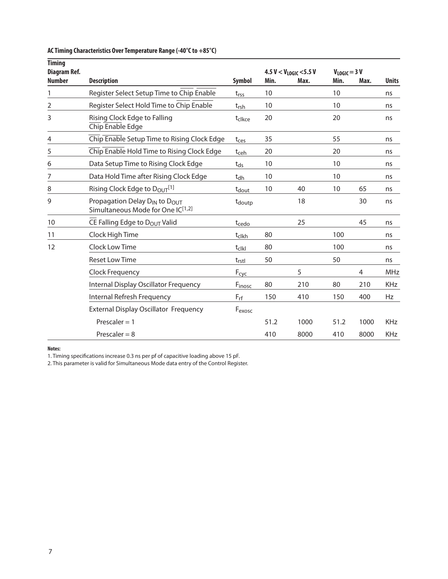| <b>Timing</b><br>Diagram Ref. |                                                                                            |                       |      | 4.5 V < $V_{LOGIC}$ < 5.5 V | $V_{LOGIC} = 3 V$ |                |              |
|-------------------------------|--------------------------------------------------------------------------------------------|-----------------------|------|-----------------------------|-------------------|----------------|--------------|
| <b>Number</b>                 | <b>Description</b>                                                                         | <b>Symbol</b>         | Min. | Max.                        | Min.              | Max.           | <b>Units</b> |
| 1                             | Register Select Setup Time to Chip Enable                                                  | $t_{rss}$             | 10   |                             | 10                |                | ns           |
| 2                             | Register Select Hold Time to Chip Enable                                                   | $t_{rsh}$             | 10   |                             | 10                |                | ns           |
| 3                             | Rising Clock Edge to Falling<br>Chip Enable Edge                                           | t <sub>clkce</sub>    | 20   |                             | 20                |                | ns           |
| 4                             | Chip Enable Setup Time to Rising Clock Edge                                                | t <sub>ces</sub>      | 35   |                             | 55                |                | ns           |
| 5                             | Chip Enable Hold Time to Rising Clock Edge                                                 | t <sub>ceh</sub>      | 20   |                             | 20                |                | ns           |
| 6                             | Data Setup Time to Rising Clock Edge                                                       | $t_{ds}$              | 10   |                             | 10                |                | ns           |
| 7                             | Data Hold Time after Rising Clock Edge                                                     | $t_{dh}$              | 10   |                             | 10                |                | ns           |
| 8                             | Rising Clock Edge to D <sub>OUT</sub> [1]                                                  | t <sub>dout</sub>     | 10   | 40                          | 10                | 65             | ns           |
| 9                             | Propagation Delay D <sub>IN</sub> to D <sub>OUT</sub><br>Simultaneous Mode for One IC[1,2] | t <sub>doutp</sub>    |      | 18                          |                   | 30             | ns           |
| 10                            | CE Falling Edge to DOUT Valid                                                              | t <sub>cedo</sub>     |      | 25                          |                   | 45             | ns           |
| 11                            | Clock High Time                                                                            | tclkh                 | 80   |                             | 100               |                | ns           |
| 12                            | Clock Low Time                                                                             | $t_{c}$ <sub>kl</sub> | 80   |                             | 100               |                | ns           |
|                               | <b>Reset Low Time</b>                                                                      | $t_{rstl}$            | 50   |                             | 50                |                | ns           |
|                               | <b>Clock Frequency</b>                                                                     | $F_{\text{cyc}}$      |      | 5                           |                   | $\overline{4}$ | MHz          |
|                               | Internal Display Oscillator Frequency                                                      | Finosc                | 80   | 210                         | 80                | 210            | <b>KHz</b>   |
|                               | Internal Refresh Frequency                                                                 | $F_{rf}$              | 150  | 410                         | 150               | 400            | Hz           |
|                               | <b>External Display Oscillator Frequency</b>                                               | F <sub>exosc</sub>    |      |                             |                   |                |              |
|                               | Prescaler $= 1$                                                                            |                       | 51.2 | 1000                        | 51.2              | 1000           | <b>KHz</b>   |
|                               | Prescaler = $8$                                                                            |                       | 410  | 8000                        | 410               | 8000           | <b>KHz</b>   |

## **AC Timing Characteristics Over Temperature Range (-40°C to +85°C)**

**Notes:**

1. Timing specifications increase 0.3 ns per pf of capacitive loading above 15 pF.

2. This parameter is valid for Simultaneous Mode data entry of the Control Register.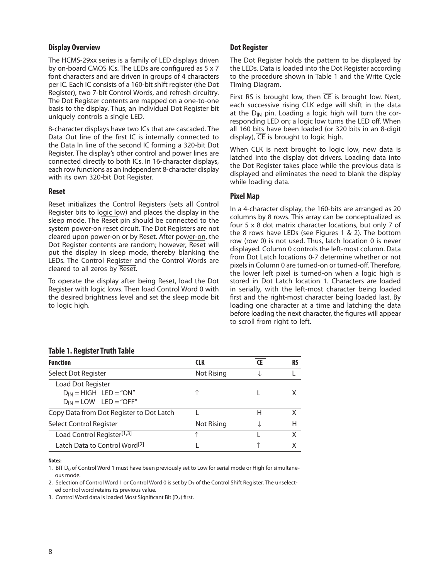#### **Display Overview**

The HCMS-29xx series is a family of LED displays driven by on-board CMOS ICs. The LEDs are configured as 5 x 7 font characters and are driven in groups of 4 characters per IC. Each IC consists of a 160-bit shift register (the Dot Register), two 7-bit Control Words, and refresh circuitry. The Dot Register contents are mapped on a one-to-one basis to the display. Thus, an individual Dot Register bit uniquely controls a single LED.

8-character displays have two ICs that are cascaded. The Data Out line of the first IC is internally connected to the Data In line of the second IC forming a 320-bit Dot Register. The display's other control and power lines are connected directly to both ICs. In 16-character displays, each row functions as an independent 8-character display with its own 320-bit Dot Register.

#### **Reset**

Reset initializes the Control Registers (sets all Control Register bits to logic low) and places the display in the sleep mode. The Reset pin should be connected to the system power-on reset circuit. The Dot Registers are not cleared upon power-on or by Reset. After power-on, the Dot Register contents are random; however, Reset will put the display in sleep mode, thereby blanking the LEDs. The Control Register and the Control Words are cleared to all zeros by Reset.

To operate the display after being Reset, load the Dot Register with logic lows. Then load Control Word 0 with the desired brightness level and set the sleep mode bit to logic high.

## **Dot Register**

The Dot Register holds the pattern to be displayed by the LEDs. Data is loaded into the Dot Register according to the procedure shown in Table 1 and the Write Cycle Timing Diagram.

First RS is brought low, then  $\overline{\text{CE}}$  is brought low. Next, each successive rising CLK edge will shift in the data at the  $D_{IN}$  pin. Loading a logic high will turn the corresponding LED on; a logic low turns the LED off. When all 160 bits have been loaded (or 320 bits in an 8-digit display),  $\overline{CE}$  is brought to logic high.

When CLK is next brought to logic low, new data is latched into the display dot drivers. Loading data into the Dot Register takes place while the previous data is displayed and eliminates the need to blank the display while loading data.

# **Pixel Map**

In a 4-character display, the 160-bits are arranged as 20 columns by 8 rows. This array can be conceptualized as four 5 x 8 dot matrix character locations, but only 7 of the 8 rows have LEDs (see Figures 1 & 2). The bottom row (row 0) is not used. Thus, latch location 0 is never displayed. Column 0 controls the left-most column. Data from Dot Latch locations 0-7 determine whether or not pixels in Column 0 are turned-on or turned-off. Therefore, the lower left pixel is turned-on when a logic high is stored in Dot Latch location 1. Characters are loaded in serially, with the left-most character being loaded first and the right-most character being loaded last. By loading one character at a time and latching the data before loading the next character, the figures will appear to scroll from right to left.

## **Table 1. Register Truth Table**

| <b>Function</b>                                                               | <b>CLK</b> | RS |
|-------------------------------------------------------------------------------|------------|----|
| Select Dot Register                                                           | Not Rising |    |
| Load Dot Register<br>$D_{IN}$ = HIGH LED = "ON"<br>$D_{IN} =$ LOW LED = "OFF" |            |    |
| Copy Data from Dot Register to Dot Latch                                      |            | X  |
| Select Control Register                                                       | Not Rising | н  |
| Load Control Register <sup>[1,3]</sup>                                        |            | x  |
| Latch Data to Control Word <sup>[2]</sup>                                     |            | x  |

**Notes:**

1. BIT  $D_0$  of Control Word 1 must have been previously set to Low for serial mode or High for simultaneous mode.

2. Selection of Control Word 1 or Control Word 0 is set by D<sub>7</sub> of the Control Shift Register. The unselected control word retains its previous value.

3. Control Word data is loaded Most Significant Bit ( $D_7$ ) first.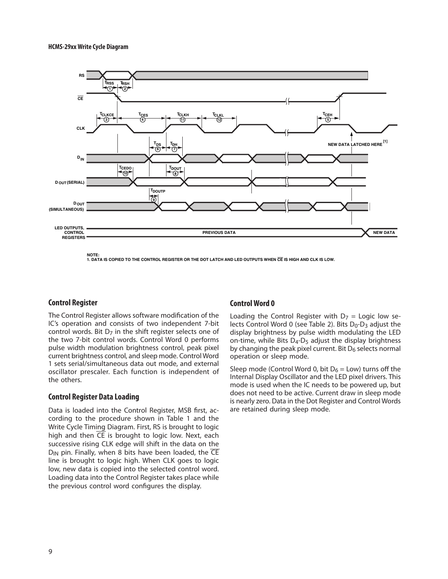

**1. DATA IS COPIED TO THE CONTROL REGISTER OR THE DOT LATCH AND LED OUTPUTS WHEN CE IS HIGH AND CLK IS LOW.**

#### **Control Register**

The Control Register allows software modification of the IC's operation and consists of two independent 7-bit control words. Bit  $D<sub>7</sub>$  in the shift register selects one of the two 7-bit control words. Control Word 0 performs pulse width modulation brightness control, peak pixel current brightness control, and sleep mode. Control Word 1 sets serial/simultaneous data out mode, and external oscillator prescaler. Each function is independent of the others.

#### **Control Register Data Loading**

Data is loaded into the Control Register, MSB first, according to the procedure shown in Table 1 and the Write Cycle Timing Diagram. First, RS is brought to logic high and then CE is brought to logic low. Next, each successive rising CLK edge will shift in the data on the  $D_{IN}$  pin. Finally, when 8 bits have been loaded, the  $\overline{CE}$ line is brought to logic high. When CLK goes to logic low, new data is copied into the selected control word. Loading data into the Control Register takes place while the previous control word configures the display.

#### **Control Word 0**

Loading the Control Register with  $D_7$  = Logic low selects Control Word 0 (see Table 2). Bits  $D_0$ -D<sub>3</sub> adjust the display brightness by pulse width modulating the LED on-time, while Bits  $D_4$ - $D_5$  adjust the display brightness by changing the peak pixel current. Bit  $D_6$  selects normal operation or sleep mode.

Sleep mode (Control Word 0, bit  $D_6 =$  Low) turns off the Internal Display Oscillator and the LED pixel drivers. This mode is used when the IC needs to be powered up, but does not need to be active. Current draw in sleep mode is nearly zero. Data in the Dot Register and Control Words are retained during sleep mode.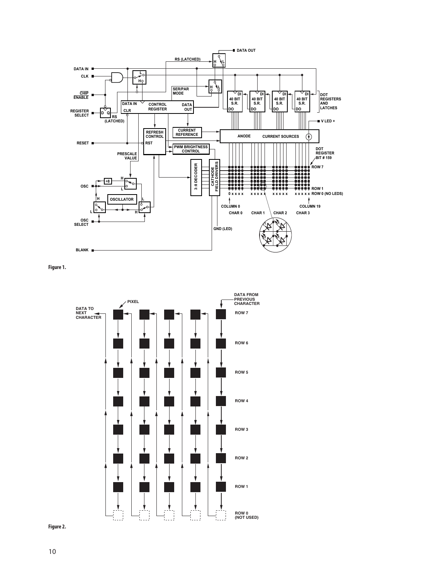

**Figure 1.**



**Figure 2.**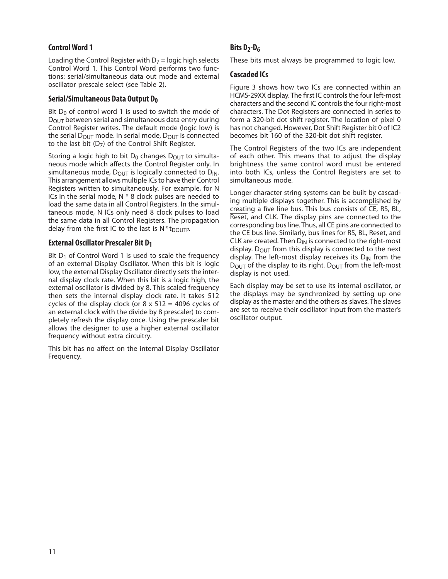# **Control Word 1**

Loading the Control Register with  $D_7$  = logic high selects Control Word 1. This Control Word performs two functions: serial/simultaneous data out mode and external oscillator prescale select (see Table 2).

## **Serial/Simultaneous Data Output D0**

Bit  $D_0$  of control word 1 is used to switch the mode of DOUT between serial and simultaneous data entry during Control Register writes. The default mode (logic low) is the serial  $D_{\text{OUT}}$  mode. In serial mode,  $D_{\text{OUT}}$  is connected to the last bit  $(D_7)$  of the Control Shift Register.

Storing a logic high to bit  $D_0$  changes  $D_{\text{OUT}}$  to simultaneous mode which affects the Control Register only. In simultaneous mode,  $D_{\text{OUT}}$  is logically connected to  $D_{\text{IN}}$ . This arrangement allows multiple ICs to have their Control Registers written to simultaneously. For example, for N ICs in the serial mode,  $N * 8$  clock pulses are needed to load the same data in all Control Registers. In the simultaneous mode, N ICs only need 8 clock pulses to load the same data in all Control Registers. The propagation delay from the first IC to the last is  $N * t_{DOUTP}$ .

# **External Oscillator Prescaler Bit D1**

Bit  $D_1$  of Control Word 1 is used to scale the frequency of an external Display Oscillator. When this bit is logic low, the external Display Oscillator directly sets the internal display clock rate. When this bit is a logic high, the external oscillator is divided by 8. This scaled frequency then sets the internal display clock rate. It takes 512 cycles of the display clock (or  $8 \times 512 = 4096$  cycles of an external clock with the divide by 8 prescaler) to completely refresh the display once. Using the prescaler bit allows the designer to use a higher external oscillator frequency without extra circuitry.

This bit has no affect on the internal Display Oscillator Frequency.

# Bits D<sub>2</sub>-D<sub>6</sub>

These bits must always be programmed to logic low.

#### **Cascaded ICs**

Figure 3 shows how two ICs are connected within an HCMS-29XX display. The first IC controls the four left-most characters and the second IC controls the four right-most characters. The Dot Registers are connected in series to form a 320-bit dot shift register. The location of pixel 0 has not changed. However, Dot Shift Register bit 0 of IC2 becomes bit 160 of the 320-bit dot shift register.

The Control Registers of the two ICs are independent of each other. This means that to adjust the display brightness the same control word must be entered into both ICs, unless the Control Registers are set to simultaneous mode.

Longer character string systems can be built by cascading multiple displays together. This is accomplished by creating a five line bus. This bus consists of CE, RS, BL, Reset, and CLK. The display pins are connected to the corresponding bus line. Thus, all CE pins are connected to the CE bus line. Similarly, bus lines for RS, BL, Reset, and CLK are created. Then  $D_{IN}$  is connected to the right-most display.  $D_{\text{OUT}}$  from this display is connected to the next display. The left-most display receives its  $D_{IN}$  from the  $D_{\text{OUT}}$  of the display to its right.  $D_{\text{OUT}}$  from the left-most display is not used.

Each display may be set to use its internal oscillator, or the displays may be synchronized by setting up one display as the master and the others as slaves. The slaves are set to receive their oscillator input from the master's oscillator output.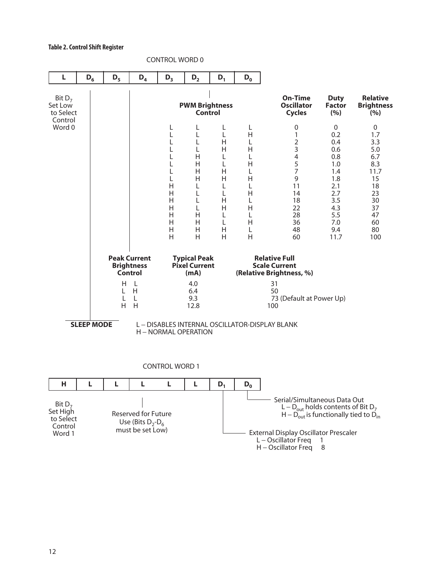#### **Table 2. Control Shift Register**



CONTROL WORD 0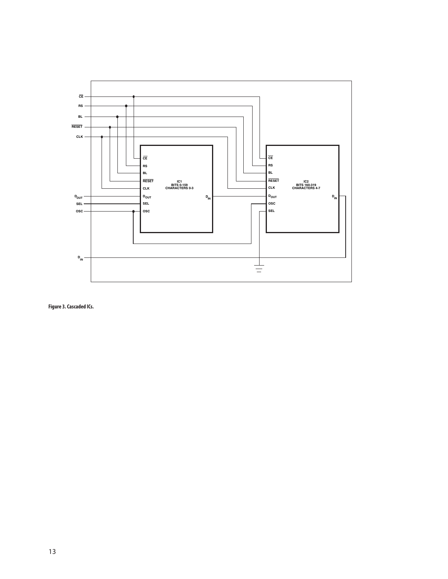

**Figure 3. Cascaded ICs.**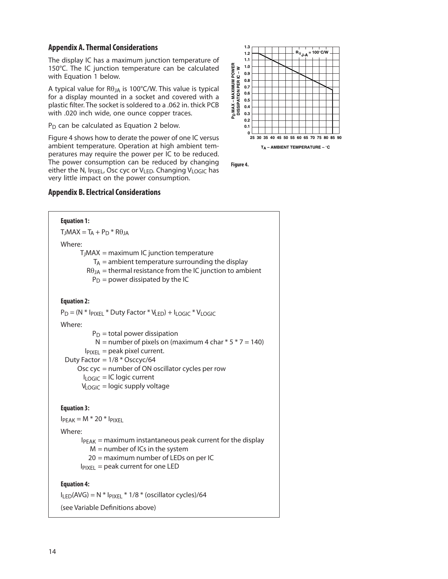# **Appendix A. Thermal Considerations**

The display IC has a maximum junction temperature of 150°C. The IC junction temperature can be calculated with Equation 1 below.

A typical value for  $R\theta_{JA}$  is 100°C/W. This value is typical for a display mounted in a socket and covered with a plastic filter. The socket is soldered to a .062 in. thick PCB with .020 inch wide, one ounce copper traces.

 $P_D$  can be calculated as Equation 2 below.

Figure 4 shows how to derate the power of one IC versus ambient temperature. Operation at high ambient temperatures may require the power per IC to be reduced. The power consumption can be reduced by changing either the N, I<sub>PIXEL</sub>, Osc cyc or V<sub>LED</sub>. Changing V<sub>LOGIC</sub> has very little impact on the power consumption.

# **Appendix B. Electrical Considerations**





**Figure 4.**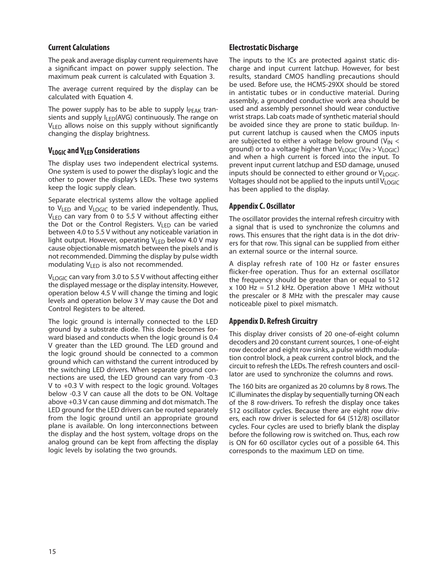#### **Current Calculations**

The peak and average display current requirements have a significant impact on power supply selection. The maximum peak current is calculated with Equation 3.

The average current required by the display can be calculated with Equation 4.

The power supply has to be able to supply  $I_{\text{PFAK}}$  transients and supply  $I_{LED}(AVG)$  continuously. The range on  $V_{\text{LED}}$  allows noise on this supply without significantly changing the display brightness.

# **VLOGIC and VLED Considerations**

The display uses two independent electrical systems. One system is used to power the display's logic and the other to power the display's LEDs. These two systems keep the logic supply clean.

Separate electrical systems allow the voltage applied to  $V_{LED}$  and  $V_{LOGIC}$  to be varied independently. Thus, VLED can vary from 0 to 5.5 V without affecting either the Dot or the Control Registers.  $V_{LED}$  can be varied between 4.0 to 5.5 V without any noticeable variation in light output. However, operating  $V_{LED}$  below 4.0 V may cause objectionable mismatch between the pixels and is not recommended. Dimming the display by pulse width modulating V<sub>LED</sub> is also not recommended.

V<sub>LOGIC</sub> can vary from 3.0 to 5.5 V without affecting either the displayed message or the display intensity. However, operation below 4.5 V will change the timing and logic levels and operation below 3 V may cause the Dot and Control Registers to be altered.

The logic ground is internally connected to the LED ground by a substrate diode. This diode becomes forward biased and conducts when the logic ground is 0.4 V greater than the LED ground. The LED ground and the logic ground should be connected to a common ground which can withstand the current introduced by the switching LED drivers. When separate ground connections are used, the LED ground can vary from ‑0.3 V to +0.3 V with respect to the logic ground. Voltages below ‑0.3 V can cause all the dots to be ON. Voltage above +0.3 V can cause dimming and dot mismatch. The LED ground for the LED drivers can be routed separately from the logic ground until an appropriate ground plane is available. On long interconnections between the display and the host system, voltage drops on the analog ground can be kept from affecting the display logic levels by isolating the two grounds.

#### **Electrostatic Discharge**

The inputs to the ICs are protected against static discharge and input current latchup. However, for best results, standard CMOS handling precautions should be used. Before use, the HCMS-29XX should be stored in antistatic tubes or in conductive material. During assembly, a grounded conductive work area should be used and assembly personnel should wear conductive wrist straps. Lab coats made of synthetic material should be avoided since they are prone to static buildup. Input current latchup is caused when the CMOS inputs are subjected to either a voltage below ground ( $V_{IN}$  < ground) or to a voltage higher than  $V_{LOGIC}$  ( $V_{IN} > V_{LOGIC}$ ) and when a high current is forced into the input. To prevent input current latchup and ESD damage, unused inputs should be connected to either ground or  $V_{LOGIC}$ . Voltages should not be applied to the inputs until VLOGIC has been applied to the display.

## **Appendix C. Oscillator**

The oscillator provides the internal refresh circuitry with a signal that is used to synchronize the columns and rows. This ensures that the right data is in the dot drivers for that row. This signal can be supplied from either an external source or the internal source.

A display refresh rate of 100 Hz or faster ensures flicker-free operation. Thus for an external oscillator the frequency should be greater than or equal to 512  $x$  100 Hz = 51.2 kHz. Operation above 1 MHz without the prescaler or 8 MHz with the prescaler may cause noticeable pixel to pixel mismatch.

## **Appendix D. Refresh Circuitry**

This display driver consists of 20 one-of-eight column decoders and 20 constant current sources, 1 one-of-eight row decoder and eight row sinks, a pulse width modulation control block, a peak current control block, and the circuit to refresh the LEDs. The refresh counters and oscillator are used to synchronize the columns and rows.

The 160 bits are organized as 20 columns by 8 rows. The IC illuminates the display by sequentially turning ON each of the 8 row-drivers. To refresh the display once takes 512 oscillator cycles. Because there are eight row drivers, each row driver is selected for 64 (512/8) oscillator cycles. Four cycles are used to briefly blank the display before the following row is switched on. Thus, each row is ON for 60 oscillator cycles out of a possible 64. This corresponds to the maximum LED on time.